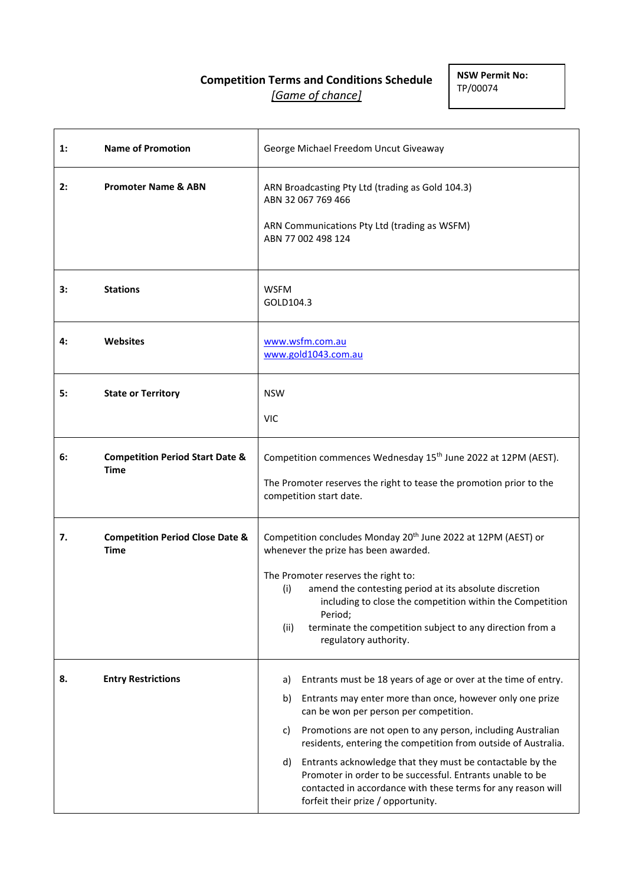# **Competition Terms and Conditions Schedule** *[Game of chance]*

**NSW Permit No:** TP/00074

| 1: | <b>Name of Promotion</b>                                  | George Michael Freedom Uncut Giveaway                                                                                                                                                                                                                                                                                                                                                                                                                                                                                                                          |
|----|-----------------------------------------------------------|----------------------------------------------------------------------------------------------------------------------------------------------------------------------------------------------------------------------------------------------------------------------------------------------------------------------------------------------------------------------------------------------------------------------------------------------------------------------------------------------------------------------------------------------------------------|
| 2: | <b>Promoter Name &amp; ABN</b>                            | ARN Broadcasting Pty Ltd (trading as Gold 104.3)<br>ABN 32 067 769 466<br>ARN Communications Pty Ltd (trading as WSFM)<br>ABN 77 002 498 124                                                                                                                                                                                                                                                                                                                                                                                                                   |
| 3: | <b>Stations</b>                                           | <b>WSFM</b><br>GOLD104.3                                                                                                                                                                                                                                                                                                                                                                                                                                                                                                                                       |
| 4: | <b>Websites</b>                                           | www.wsfm.com.au<br>www.gold1043.com.au                                                                                                                                                                                                                                                                                                                                                                                                                                                                                                                         |
| 5: | <b>State or Territory</b>                                 | <b>NSW</b><br><b>VIC</b>                                                                                                                                                                                                                                                                                                                                                                                                                                                                                                                                       |
| 6: | <b>Competition Period Start Date &amp;</b><br><b>Time</b> | Competition commences Wednesday 15 <sup>th</sup> June 2022 at 12PM (AEST).<br>The Promoter reserves the right to tease the promotion prior to the<br>competition start date.                                                                                                                                                                                                                                                                                                                                                                                   |
| 7. | <b>Competition Period Close Date &amp;</b><br><b>Time</b> | Competition concludes Monday 20 <sup>th</sup> June 2022 at 12PM (AEST) or<br>whenever the prize has been awarded.<br>The Promoter reserves the right to:<br>amend the contesting period at its absolute discretion<br>(i)<br>including to close the competition within the Competition<br>Period;<br>terminate the competition subject to any direction from a<br>(ii)<br>regulatory authority.                                                                                                                                                                |
| 8. | <b>Entry Restrictions</b>                                 | Entrants must be 18 years of age or over at the time of entry.<br>a)<br>Entrants may enter more than once, however only one prize<br>b)<br>can be won per person per competition.<br>Promotions are not open to any person, including Australian<br>c)<br>residents, entering the competition from outside of Australia.<br>Entrants acknowledge that they must be contactable by the<br>d)<br>Promoter in order to be successful. Entrants unable to be<br>contacted in accordance with these terms for any reason will<br>forfeit their prize / opportunity. |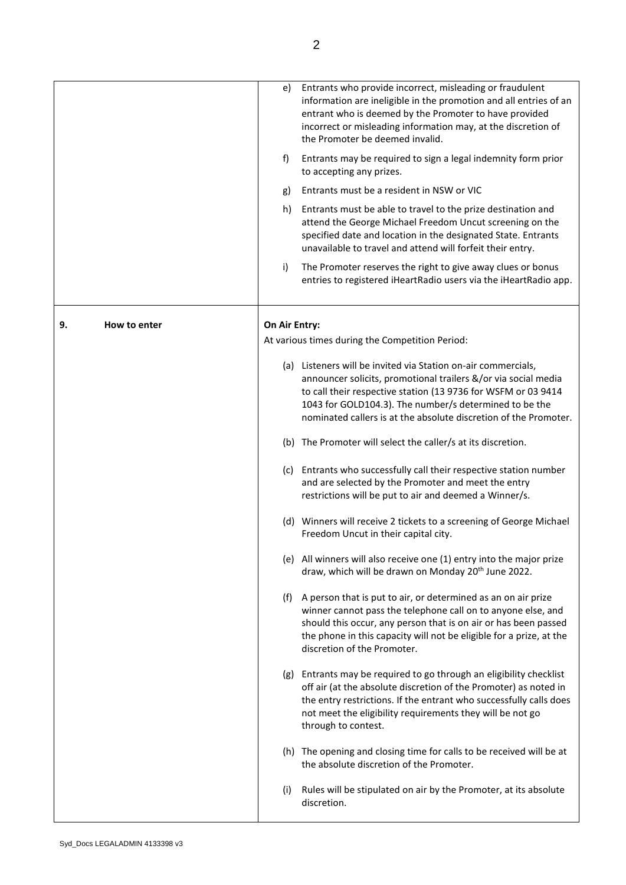|                    | e)            | Entrants who provide incorrect, misleading or fraudulent<br>information are ineligible in the promotion and all entries of an<br>entrant who is deemed by the Promoter to have provided<br>incorrect or misleading information may, at the discretion of<br>the Promoter be deemed invalid.                                    |
|--------------------|---------------|--------------------------------------------------------------------------------------------------------------------------------------------------------------------------------------------------------------------------------------------------------------------------------------------------------------------------------|
|                    | f)            | Entrants may be required to sign a legal indemnity form prior<br>to accepting any prizes.                                                                                                                                                                                                                                      |
|                    | g)            | Entrants must be a resident in NSW or VIC                                                                                                                                                                                                                                                                                      |
|                    | h)            | Entrants must be able to travel to the prize destination and<br>attend the George Michael Freedom Uncut screening on the<br>specified date and location in the designated State. Entrants<br>unavailable to travel and attend will forfeit their entry.                                                                        |
|                    | i)            | The Promoter reserves the right to give away clues or bonus<br>entries to registered iHeartRadio users via the iHeartRadio app.                                                                                                                                                                                                |
| 9.<br>How to enter | On Air Entry: |                                                                                                                                                                                                                                                                                                                                |
|                    |               | At various times during the Competition Period:                                                                                                                                                                                                                                                                                |
|                    |               | (a) Listeners will be invited via Station on-air commercials,<br>announcer solicits, promotional trailers &/or via social media<br>to call their respective station (13 9736 for WSFM or 03 9414<br>1043 for GOLD104.3). The number/s determined to be the<br>nominated callers is at the absolute discretion of the Promoter. |
|                    |               | (b) The Promoter will select the caller/s at its discretion.                                                                                                                                                                                                                                                                   |
|                    |               | (c) Entrants who successfully call their respective station number<br>and are selected by the Promoter and meet the entry<br>restrictions will be put to air and deemed a Winner/s.                                                                                                                                            |
|                    |               | (d) Winners will receive 2 tickets to a screening of George Michael<br>Freedom Uncut in their capital city.                                                                                                                                                                                                                    |
|                    |               | (e) All winners will also receive one (1) entry into the major prize<br>draw, which will be drawn on Monday 20 <sup>th</sup> June 2022.                                                                                                                                                                                        |
|                    |               | (f) A person that is put to air, or determined as an on air prize<br>winner cannot pass the telephone call on to anyone else, and<br>should this occur, any person that is on air or has been passed<br>the phone in this capacity will not be eligible for a prize, at the<br>discretion of the Promoter.                     |
|                    |               | (g) Entrants may be required to go through an eligibility checklist<br>off air (at the absolute discretion of the Promoter) as noted in<br>the entry restrictions. If the entrant who successfully calls does<br>not meet the eligibility requirements they will be not go<br>through to contest.                              |
|                    |               | (h) The opening and closing time for calls to be received will be at<br>the absolute discretion of the Promoter.                                                                                                                                                                                                               |
|                    | (i)           | Rules will be stipulated on air by the Promoter, at its absolute<br>discretion.                                                                                                                                                                                                                                                |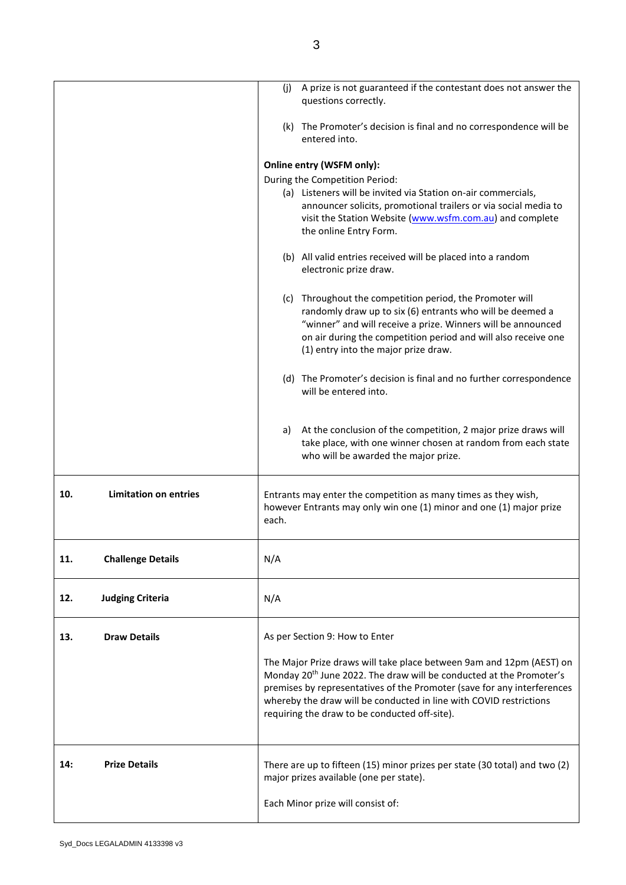|                                     | A prize is not guaranteed if the contestant does not answer the<br>(i)<br>questions correctly.                                                                                                                                                                                                                                                            |
|-------------------------------------|-----------------------------------------------------------------------------------------------------------------------------------------------------------------------------------------------------------------------------------------------------------------------------------------------------------------------------------------------------------|
|                                     | (k) The Promoter's decision is final and no correspondence will be<br>entered into.                                                                                                                                                                                                                                                                       |
|                                     | Online entry (WSFM only):                                                                                                                                                                                                                                                                                                                                 |
|                                     | During the Competition Period:                                                                                                                                                                                                                                                                                                                            |
|                                     | (a) Listeners will be invited via Station on-air commercials,<br>announcer solicits, promotional trailers or via social media to<br>visit the Station Website (www.wsfm.com.au) and complete<br>the online Entry Form.                                                                                                                                    |
|                                     | (b) All valid entries received will be placed into a random<br>electronic prize draw.                                                                                                                                                                                                                                                                     |
|                                     | (c) Throughout the competition period, the Promoter will<br>randomly draw up to six (6) entrants who will be deemed a<br>"winner" and will receive a prize. Winners will be announced<br>on air during the competition period and will also receive one<br>(1) entry into the major prize draw.                                                           |
|                                     | (d) The Promoter's decision is final and no further correspondence<br>will be entered into.                                                                                                                                                                                                                                                               |
|                                     | At the conclusion of the competition, 2 major prize draws will<br>a)<br>take place, with one winner chosen at random from each state<br>who will be awarded the major prize.                                                                                                                                                                              |
| <b>Limitation on entries</b><br>10. | Entrants may enter the competition as many times as they wish,<br>however Entrants may only win one (1) minor and one (1) major prize<br>each.                                                                                                                                                                                                            |
| <b>Challenge Details</b><br>11.     | N/A                                                                                                                                                                                                                                                                                                                                                       |
| 12.<br><b>Judging Criteria</b>      | N/A                                                                                                                                                                                                                                                                                                                                                       |
| <b>Draw Details</b><br>13.          | As per Section 9: How to Enter                                                                                                                                                                                                                                                                                                                            |
|                                     | The Major Prize draws will take place between 9am and 12pm (AEST) on<br>Monday 20 <sup>th</sup> June 2022. The draw will be conducted at the Promoter's<br>premises by representatives of the Promoter (save for any interferences<br>whereby the draw will be conducted in line with COVID restrictions<br>requiring the draw to be conducted off-site). |
| <b>Prize Details</b><br>14:         | There are up to fifteen (15) minor prizes per state (30 total) and two (2)<br>major prizes available (one per state).                                                                                                                                                                                                                                     |
|                                     | Each Minor prize will consist of:                                                                                                                                                                                                                                                                                                                         |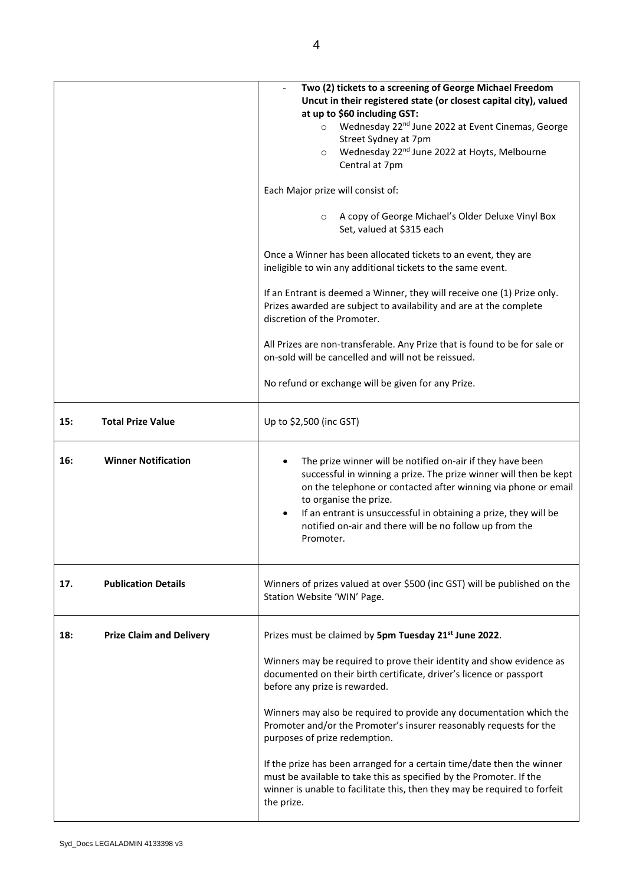|                                        | Two (2) tickets to a screening of George Michael Freedom<br>Uncut in their registered state (or closest capital city), valued<br>at up to \$60 including GST:<br>Wednesday 22 <sup>nd</sup> June 2022 at Event Cinemas, George<br>$\circ$<br>Street Sydney at 7pm<br>Wednesday 22 <sup>nd</sup> June 2022 at Hoyts, Melbourne<br>$\circ$<br>Central at 7pm<br>Each Major prize will consist of:<br>A copy of George Michael's Older Deluxe Vinyl Box<br>$\circ$<br>Set, valued at \$315 each<br>Once a Winner has been allocated tickets to an event, they are<br>ineligible to win any additional tickets to the same event.<br>If an Entrant is deemed a Winner, they will receive one (1) Prize only.<br>Prizes awarded are subject to availability and are at the complete<br>discretion of the Promoter. |
|----------------------------------------|---------------------------------------------------------------------------------------------------------------------------------------------------------------------------------------------------------------------------------------------------------------------------------------------------------------------------------------------------------------------------------------------------------------------------------------------------------------------------------------------------------------------------------------------------------------------------------------------------------------------------------------------------------------------------------------------------------------------------------------------------------------------------------------------------------------|
|                                        | All Prizes are non-transferable. Any Prize that is found to be for sale or<br>on-sold will be cancelled and will not be reissued.<br>No refund or exchange will be given for any Prize.                                                                                                                                                                                                                                                                                                                                                                                                                                                                                                                                                                                                                       |
| <b>Total Prize Value</b><br>15:        | Up to \$2,500 (inc GST)                                                                                                                                                                                                                                                                                                                                                                                                                                                                                                                                                                                                                                                                                                                                                                                       |
| <b>Winner Notification</b><br>16:      | The prize winner will be notified on-air if they have been<br>successful in winning a prize. The prize winner will then be kept<br>on the telephone or contacted after winning via phone or email<br>to organise the prize.<br>If an entrant is unsuccessful in obtaining a prize, they will be<br>notified on-air and there will be no follow up from the<br>Promoter.                                                                                                                                                                                                                                                                                                                                                                                                                                       |
| <b>Publication Details</b><br>17.      | Winners of prizes valued at over \$500 (inc GST) will be published on the<br>Station Website 'WIN' Page.                                                                                                                                                                                                                                                                                                                                                                                                                                                                                                                                                                                                                                                                                                      |
| <b>Prize Claim and Delivery</b><br>18: | Prizes must be claimed by 5pm Tuesday 21st June 2022.<br>Winners may be required to prove their identity and show evidence as<br>documented on their birth certificate, driver's licence or passport<br>before any prize is rewarded.<br>Winners may also be required to provide any documentation which the<br>Promoter and/or the Promoter's insurer reasonably requests for the<br>purposes of prize redemption.<br>If the prize has been arranged for a certain time/date then the winner<br>must be available to take this as specified by the Promoter. If the<br>winner is unable to facilitate this, then they may be required to forfeit<br>the prize.                                                                                                                                               |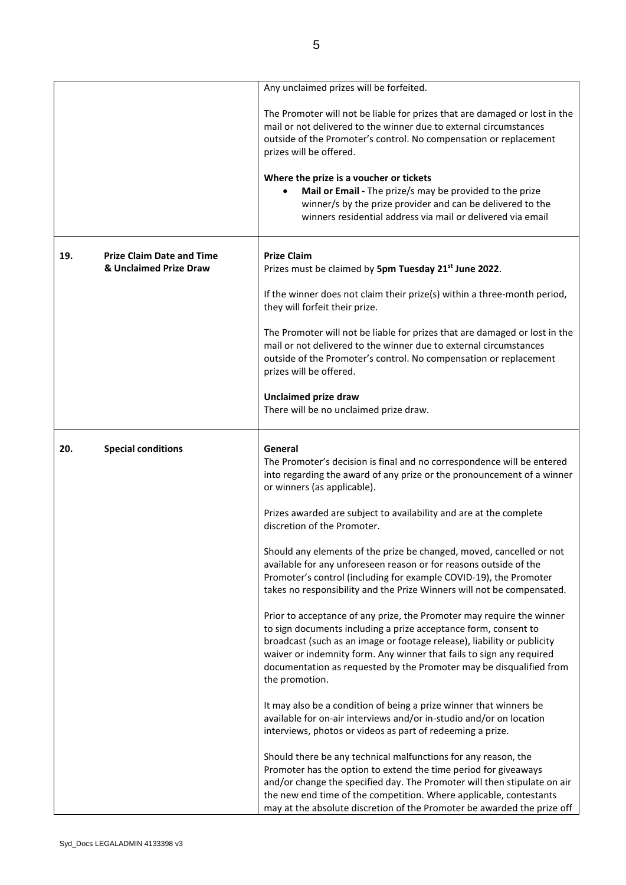|     |                                                            | Any unclaimed prizes will be forfeited.                                                                                                                                                                                                                                                                                                                                              |
|-----|------------------------------------------------------------|--------------------------------------------------------------------------------------------------------------------------------------------------------------------------------------------------------------------------------------------------------------------------------------------------------------------------------------------------------------------------------------|
|     |                                                            | The Promoter will not be liable for prizes that are damaged or lost in the<br>mail or not delivered to the winner due to external circumstances<br>outside of the Promoter's control. No compensation or replacement<br>prizes will be offered.                                                                                                                                      |
|     |                                                            | Where the prize is a voucher or tickets<br>Mail or Email - The prize/s may be provided to the prize<br>winner/s by the prize provider and can be delivered to the<br>winners residential address via mail or delivered via email                                                                                                                                                     |
| 19. | <b>Prize Claim Date and Time</b><br>& Unclaimed Prize Draw | <b>Prize Claim</b><br>Prizes must be claimed by 5pm Tuesday 21 <sup>st</sup> June 2022.                                                                                                                                                                                                                                                                                              |
|     |                                                            | If the winner does not claim their prize(s) within a three-month period,<br>they will forfeit their prize.                                                                                                                                                                                                                                                                           |
|     |                                                            | The Promoter will not be liable for prizes that are damaged or lost in the<br>mail or not delivered to the winner due to external circumstances<br>outside of the Promoter's control. No compensation or replacement<br>prizes will be offered.                                                                                                                                      |
|     |                                                            | <b>Unclaimed prize draw</b><br>There will be no unclaimed prize draw.                                                                                                                                                                                                                                                                                                                |
| 20. | <b>Special conditions</b>                                  | General<br>The Promoter's decision is final and no correspondence will be entered<br>into regarding the award of any prize or the pronouncement of a winner<br>or winners (as applicable).                                                                                                                                                                                           |
|     |                                                            | Prizes awarded are subject to availability and are at the complete<br>discretion of the Promoter.                                                                                                                                                                                                                                                                                    |
|     |                                                            | Should any elements of the prize be changed, moved, cancelled or not<br>available for any unforeseen reason or for reasons outside of the<br>Promoter's control (including for example COVID-19), the Promoter<br>takes no responsibility and the Prize Winners will not be compensated.                                                                                             |
|     |                                                            | Prior to acceptance of any prize, the Promoter may require the winner<br>to sign documents including a prize acceptance form, consent to<br>broadcast (such as an image or footage release), liability or publicity<br>waiver or indemnity form. Any winner that fails to sign any required<br>documentation as requested by the Promoter may be disqualified from<br>the promotion. |
|     |                                                            | It may also be a condition of being a prize winner that winners be<br>available for on-air interviews and/or in-studio and/or on location<br>interviews, photos or videos as part of redeeming a prize.                                                                                                                                                                              |
|     |                                                            | Should there be any technical malfunctions for any reason, the<br>Promoter has the option to extend the time period for giveaways<br>and/or change the specified day. The Promoter will then stipulate on air<br>the new end time of the competition. Where applicable, contestants<br>may at the absolute discretion of the Promoter be awarded the prize off                       |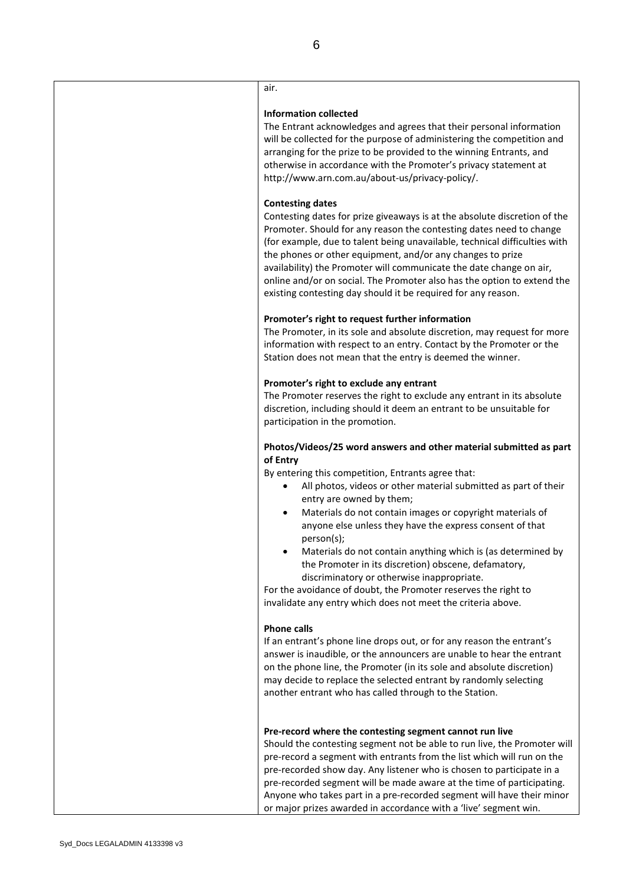# air.

#### **Information collected**

The Entrant acknowledges and agrees that their personal information will be collected for the purpose of administering the competition and arranging for the prize to be provided to the winning Entrants, and otherwise in accordance with the Promoter's privacy statement at [http://www.arn.com.au/about-us/privacy-policy/.](http://www.arn.com.au/about-us/privacy-policy/)

#### **Contesting dates**

Contesting dates for prize giveaways is at the absolute discretion of the Promoter. Should for any reason the contesting dates need to change (for example, due to talent being unavailable, technical difficulties with the phones or other equipment, and/or any changes to prize availability) the Promoter will communicate the date change on air, online and/or on social. The Promoter also has the option to extend the existing contesting day should it be required for any reason.

#### **Promoter's right to request further information**

The Promoter, in its sole and absolute discretion, may request for more information with respect to an entry. Contact by the Promoter or the Station does not mean that the entry is deemed the winner.

#### **Promoter's right to exclude any entrant**

The Promoter reserves the right to exclude any entrant in its absolute discretion, including should it deem an entrant to be unsuitable for participation in the promotion.

### **Photos/Videos/25 word answers and other material submitted as part of Entry**

By entering this competition, Entrants agree that:

- All photos, videos or other material submitted as part of their entry are owned by them;
- Materials do not contain images or copyright materials of anyone else unless they have the express consent of that person(s);
- Materials do not contain anything which is (as determined by the Promoter in its discretion) obscene, defamatory, discriminatory or otherwise inappropriate.

For the avoidance of doubt, the Promoter reserves the right to invalidate any entry which does not meet the criteria above.

#### **Phone calls**

If an entrant's phone line drops out, or for any reason the entrant's answer is inaudible, or the announcers are unable to hear the entrant on the phone line, the Promoter (in its sole and absolute discretion) may decide to replace the selected entrant by randomly selecting another entrant who has called through to the Station.

#### **Pre-record where the contesting segment cannot run live**

Should the contesting segment not be able to run live, the Promoter will pre-record a segment with entrants from the list which will run on the pre-recorded show day. Any listener who is chosen to participate in a pre-recorded segment will be made aware at the time of participating. Anyone who takes part in a pre-recorded segment will have their minor or major prizes awarded in accordance with a 'live' segment win.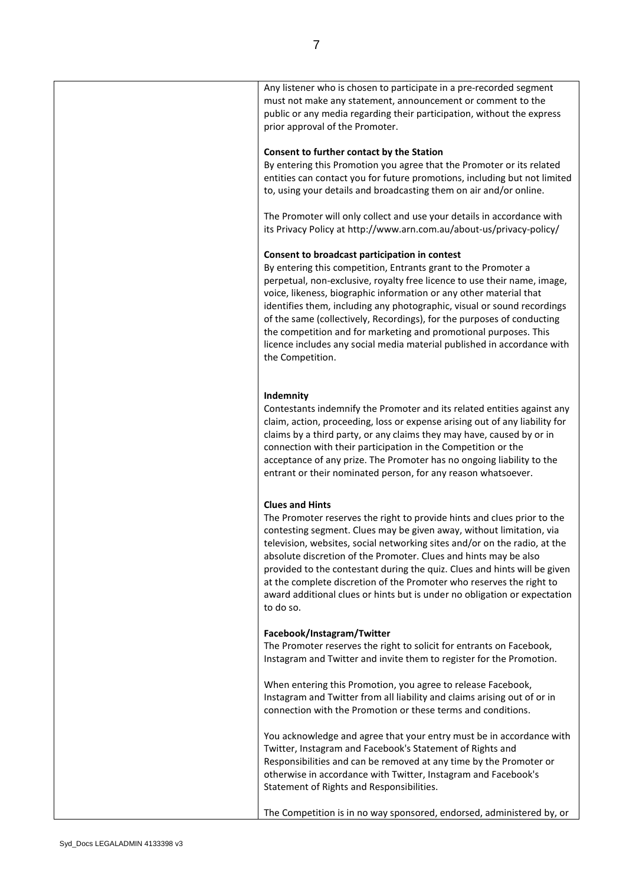| must not make any statement, announcement or comment to the<br>public or any media regarding their participation, without the express<br>prior approval of the Promoter.                                                                                                                                                                                                                                                                                                                                                                                                                  |
|-------------------------------------------------------------------------------------------------------------------------------------------------------------------------------------------------------------------------------------------------------------------------------------------------------------------------------------------------------------------------------------------------------------------------------------------------------------------------------------------------------------------------------------------------------------------------------------------|
| Consent to further contact by the Station<br>By entering this Promotion you agree that the Promoter or its related<br>entities can contact you for future promotions, including but not limited<br>to, using your details and broadcasting them on air and/or online.                                                                                                                                                                                                                                                                                                                     |
| The Promoter will only collect and use your details in accordance with<br>its Privacy Policy at http://www.arn.com.au/about-us/privacy-policy/                                                                                                                                                                                                                                                                                                                                                                                                                                            |
| Consent to broadcast participation in contest<br>By entering this competition, Entrants grant to the Promoter a<br>perpetual, non-exclusive, royalty free licence to use their name, image,<br>voice, likeness, biographic information or any other material that<br>identifies them, including any photographic, visual or sound recordings<br>of the same (collectively, Recordings), for the purposes of conducting<br>the competition and for marketing and promotional purposes. This<br>licence includes any social media material published in accordance with<br>the Competition. |
| Indemnity<br>Contestants indemnify the Promoter and its related entities against any<br>claim, action, proceeding, loss or expense arising out of any liability for<br>claims by a third party, or any claims they may have, caused by or in<br>connection with their participation in the Competition or the<br>acceptance of any prize. The Promoter has no ongoing liability to the<br>entrant or their nominated person, for any reason whatsoever.                                                                                                                                   |
| <b>Clues and Hints</b><br>The Promoter reserves the right to provide hints and clues prior to the<br>contesting segment. Clues may be given away, without limitation, via<br>television, websites, social networking sites and/or on the radio, at the<br>absolute discretion of the Promoter. Clues and hints may be also<br>provided to the contestant during the quiz. Clues and hints will be given<br>at the complete discretion of the Promoter who reserves the right to<br>award additional clues or hints but is under no obligation or expectation<br>to do so.                 |
| Facebook/Instagram/Twitter<br>The Promoter reserves the right to solicit for entrants on Facebook,<br>Instagram and Twitter and invite them to register for the Promotion.                                                                                                                                                                                                                                                                                                                                                                                                                |
| When entering this Promotion, you agree to release Facebook,<br>Instagram and Twitter from all liability and claims arising out of or in<br>connection with the Promotion or these terms and conditions.                                                                                                                                                                                                                                                                                                                                                                                  |
| You acknowledge and agree that your entry must be in accordance with<br>Twitter, Instagram and Facebook's Statement of Rights and<br>Responsibilities and can be removed at any time by the Promoter or<br>otherwise in accordance with Twitter, Instagram and Facebook's<br>Statement of Rights and Responsibilities.                                                                                                                                                                                                                                                                    |
| The Competition is in no way sponsored, endorsed, administered by, or                                                                                                                                                                                                                                                                                                                                                                                                                                                                                                                     |

Any listener who is chosen to participate in a pre-recorded segment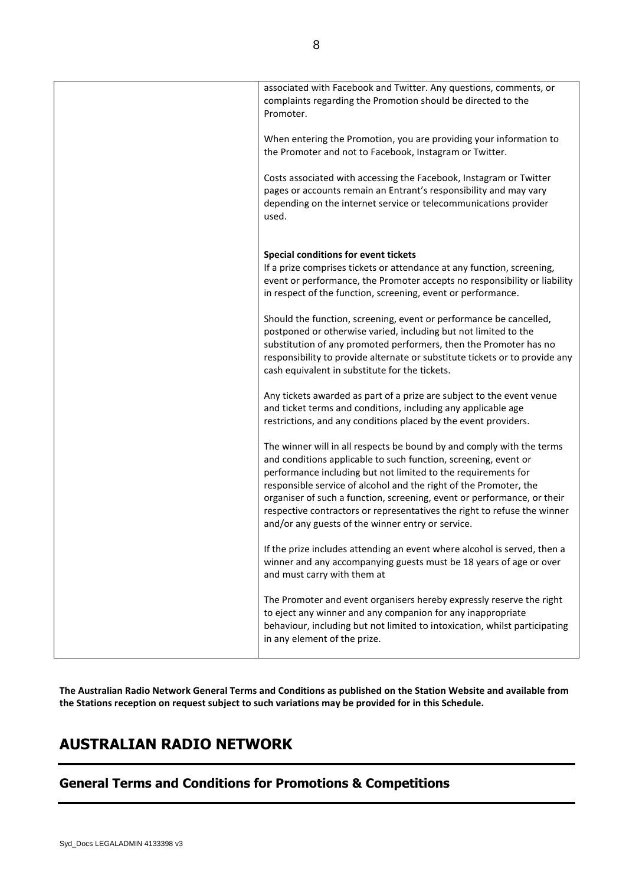| associated with Facebook and Twitter. Any questions, comments, or<br>complaints regarding the Promotion should be directed to the<br>Promoter.                                                                       |
|----------------------------------------------------------------------------------------------------------------------------------------------------------------------------------------------------------------------|
| When entering the Promotion, you are providing your information to<br>the Promoter and not to Facebook, Instagram or Twitter.                                                                                        |
| Costs associated with accessing the Facebook, Instagram or Twitter<br>pages or accounts remain an Entrant's responsibility and may vary<br>depending on the internet service or telecommunications provider<br>used. |
| Special conditions for event tickets                                                                                                                                                                                 |
| If a prize comprises tickets or attendance at any function, screening,                                                                                                                                               |
| event or performance, the Promoter accepts no responsibility or liability                                                                                                                                            |
| in respect of the function, screening, event or performance.                                                                                                                                                         |
| Should the function, screening, event or performance be cancelled,<br>postponed or otherwise varied, including but not limited to the                                                                                |
| substitution of any promoted performers, then the Promoter has no<br>responsibility to provide alternate or substitute tickets or to provide any                                                                     |
| cash equivalent in substitute for the tickets.                                                                                                                                                                       |
| Any tickets awarded as part of a prize are subject to the event venue                                                                                                                                                |
| and ticket terms and conditions, including any applicable age<br>restrictions, and any conditions placed by the event providers.                                                                                     |
|                                                                                                                                                                                                                      |
| The winner will in all respects be bound by and comply with the terms<br>and conditions applicable to such function, screening, event or                                                                             |
| performance including but not limited to the requirements for                                                                                                                                                        |
| responsible service of alcohol and the right of the Promoter, the<br>organiser of such a function, screening, event or performance, or their                                                                         |
| respective contractors or representatives the right to refuse the winner                                                                                                                                             |
| and/or any guests of the winner entry or service.                                                                                                                                                                    |
| If the prize includes attending an event where alcohol is served, then a<br>winner and any accompanying guests must be 18 years of age or over                                                                       |
| and must carry with them at                                                                                                                                                                                          |
| The Promoter and event organisers hereby expressly reserve the right                                                                                                                                                 |
| to eject any winner and any companion for any inappropriate<br>behaviour, including but not limited to intoxication, whilst participating<br>in any element of the prize.                                            |
|                                                                                                                                                                                                                      |

**The Australian Radio Network General Terms and Conditions as published on the Station Website and available from the Stations reception on request subject to such variations may be provided for in this Schedule.**

# **AUSTRALIAN RADIO NETWORK**

# **General Terms and Conditions for Promotions & Competitions**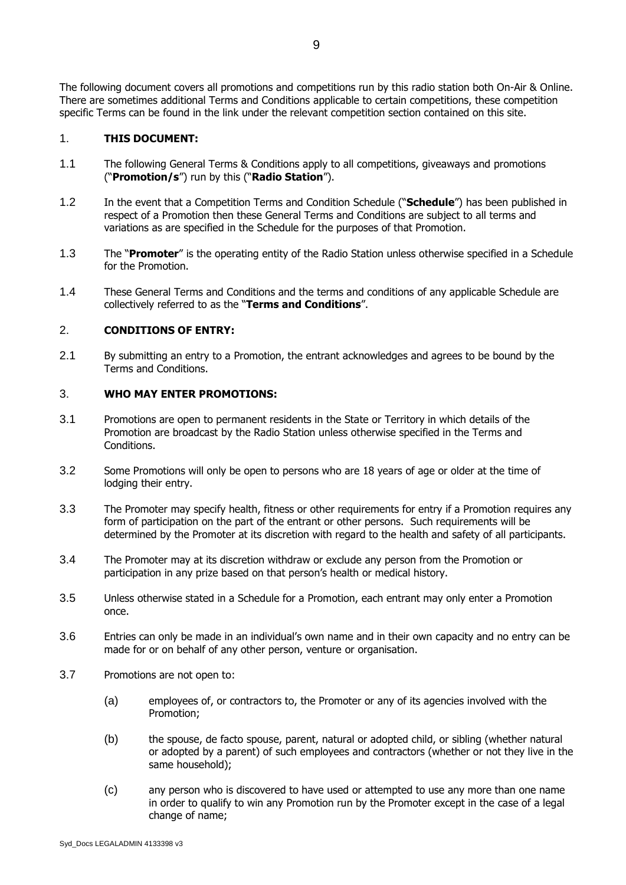The following document covers all promotions and competitions run by this radio station both On-Air & Online. There are sometimes additional Terms and Conditions applicable to certain competitions, these competition specific Terms can be found in the link under the relevant competition section contained on this site.

## 1. **THIS DOCUMENT:**

- 1.1 The following General Terms & Conditions apply to all competitions, giveaways and promotions ("**Promotion/s**") run by this ("**Radio Station**").
- 1.2 In the event that a Competition Terms and Condition Schedule ("**Schedule**") has been published in respect of a Promotion then these General Terms and Conditions are subject to all terms and variations as are specified in the Schedule for the purposes of that Promotion.
- 1.3 The "**Promoter**" is the operating entity of the Radio Station unless otherwise specified in a Schedule for the Promotion.
- 1.4 These General Terms and Conditions and the terms and conditions of any applicable Schedule are collectively referred to as the "**Terms and Conditions**".

## 2. **CONDITIONS OF ENTRY:**

2.1 By submitting an entry to a Promotion, the entrant acknowledges and agrees to be bound by the Terms and Conditions.

### 3. **WHO MAY ENTER PROMOTIONS:**

- 3.1 Promotions are open to permanent residents in the State or Territory in which details of the Promotion are broadcast by the Radio Station unless otherwise specified in the Terms and Conditions.
- 3.2 Some Promotions will only be open to persons who are 18 years of age or older at the time of lodging their entry.
- 3.3 The Promoter may specify health, fitness or other requirements for entry if a Promotion requires any form of participation on the part of the entrant or other persons. Such requirements will be determined by the Promoter at its discretion with regard to the health and safety of all participants.
- 3.4 The Promoter may at its discretion withdraw or exclude any person from the Promotion or participation in any prize based on that person's health or medical history.
- 3.5 Unless otherwise stated in a Schedule for a Promotion, each entrant may only enter a Promotion once.
- 3.6 Entries can only be made in an individual's own name and in their own capacity and no entry can be made for or on behalf of any other person, venture or organisation.
- 3.7 Promotions are not open to:
	- (a) employees of, or contractors to, the Promoter or any of its agencies involved with the Promotion;
	- (b) the spouse, de facto spouse, parent, natural or adopted child, or sibling (whether natural or adopted by a parent) of such employees and contractors (whether or not they live in the same household);
	- (c) any person who is discovered to have used or attempted to use any more than one name in order to qualify to win any Promotion run by the Promoter except in the case of a legal change of name;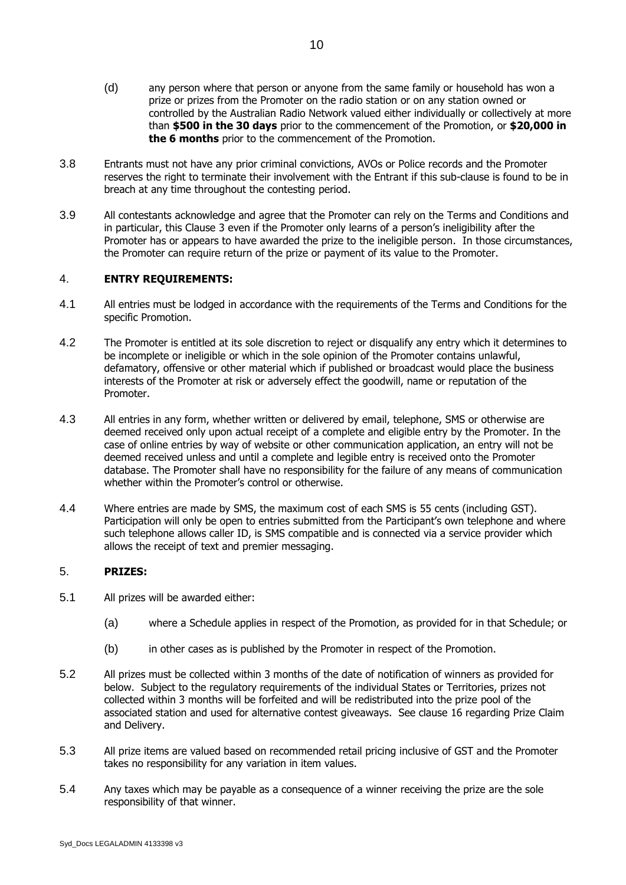- (d) any person where that person or anyone from the same family or household has won a prize or prizes from the Promoter on the radio station or on any station owned or controlled by the Australian Radio Network valued either individually or collectively at more than **\$500 in the 30 days** prior to the commencement of the Promotion, or **\$20,000 in the 6 months** prior to the commencement of the Promotion.
- 3.8 Entrants must not have any prior criminal convictions, AVOs or Police records and the Promoter reserves the right to terminate their involvement with the Entrant if this sub-clause is found to be in breach at any time throughout the contesting period.
- 3.9 All contestants acknowledge and agree that the Promoter can rely on the Terms and Conditions and in particular, this Clause 3 even if the Promoter only learns of a person's ineligibility after the Promoter has or appears to have awarded the prize to the ineligible person. In those circumstances, the Promoter can require return of the prize or payment of its value to the Promoter.

## 4. **ENTRY REQUIREMENTS:**

- 4.1 All entries must be lodged in accordance with the requirements of the Terms and Conditions for the specific Promotion.
- 4.2 The Promoter is entitled at its sole discretion to reject or disqualify any entry which it determines to be incomplete or ineligible or which in the sole opinion of the Promoter contains unlawful, defamatory, offensive or other material which if published or broadcast would place the business interests of the Promoter at risk or adversely effect the goodwill, name or reputation of the Promoter.
- 4.3 All entries in any form, whether written or delivered by email, telephone, SMS or otherwise are deemed received only upon actual receipt of a complete and eligible entry by the Promoter. In the case of online entries by way of website or other communication application, an entry will not be deemed received unless and until a complete and legible entry is received onto the Promoter database. The Promoter shall have no responsibility for the failure of any means of communication whether within the Promoter's control or otherwise.
- 4.4 Where entries are made by SMS, the maximum cost of each SMS is 55 cents (including GST). Participation will only be open to entries submitted from the Participant's own telephone and where such telephone allows caller ID, is SMS compatible and is connected via a service provider which allows the receipt of text and premier messaging.

## 5. **PRIZES:**

- 5.1 All prizes will be awarded either:
	- (a) where a Schedule applies in respect of the Promotion, as provided for in that Schedule; or
	- (b) in other cases as is published by the Promoter in respect of the Promotion.
- 5.2 All prizes must be collected within 3 months of the date of notification of winners as provided for below. Subject to the regulatory requirements of the individual States or Territories, prizes not collected within 3 months will be forfeited and will be redistributed into the prize pool of the associated station and used for alternative contest giveaways. See clause 16 regarding Prize Claim and Delivery.
- 5.3 All prize items are valued based on recommended retail pricing inclusive of GST and the Promoter takes no responsibility for any variation in item values.
- 5.4 Any taxes which may be payable as a consequence of a winner receiving the prize are the sole responsibility of that winner.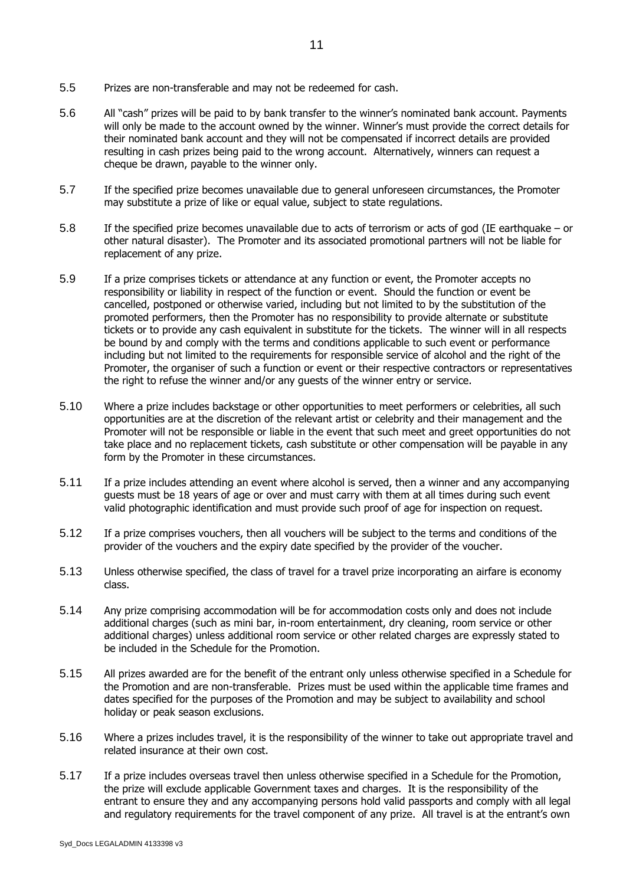- 5.5 Prizes are non-transferable and may not be redeemed for cash.
- 5.6 All "cash" prizes will be paid to by bank transfer to the winner's nominated bank account. Payments will only be made to the account owned by the winner. Winner's must provide the correct details for their nominated bank account and they will not be compensated if incorrect details are provided resulting in cash prizes being paid to the wrong account. Alternatively, winners can request a cheque be drawn, payable to the winner only.
- 5.7 If the specified prize becomes unavailable due to general unforeseen circumstances, the Promoter may substitute a prize of like or equal value, subject to state regulations.
- 5.8 If the specified prize becomes unavailable due to acts of terrorism or acts of god (IE earthquake or other natural disaster). The Promoter and its associated promotional partners will not be liable for replacement of any prize.
- 5.9 If a prize comprises tickets or attendance at any function or event, the Promoter accepts no responsibility or liability in respect of the function or event. Should the function or event be cancelled, postponed or otherwise varied, including but not limited to by the substitution of the promoted performers, then the Promoter has no responsibility to provide alternate or substitute tickets or to provide any cash equivalent in substitute for the tickets. The winner will in all respects be bound by and comply with the terms and conditions applicable to such event or performance including but not limited to the requirements for responsible service of alcohol and the right of the Promoter, the organiser of such a function or event or their respective contractors or representatives the right to refuse the winner and/or any guests of the winner entry or service.
- 5.10 Where a prize includes backstage or other opportunities to meet performers or celebrities, all such opportunities are at the discretion of the relevant artist or celebrity and their management and the Promoter will not be responsible or liable in the event that such meet and greet opportunities do not take place and no replacement tickets, cash substitute or other compensation will be payable in any form by the Promoter in these circumstances.
- 5.11 If a prize includes attending an event where alcohol is served, then a winner and any accompanying guests must be 18 years of age or over and must carry with them at all times during such event valid photographic identification and must provide such proof of age for inspection on request.
- 5.12 If a prize comprises vouchers, then all vouchers will be subject to the terms and conditions of the provider of the vouchers and the expiry date specified by the provider of the voucher.
- 5.13 Unless otherwise specified, the class of travel for a travel prize incorporating an airfare is economy class.
- 5.14 Any prize comprising accommodation will be for accommodation costs only and does not include additional charges (such as mini bar, in-room entertainment, dry cleaning, room service or other additional charges) unless additional room service or other related charges are expressly stated to be included in the Schedule for the Promotion.
- 5.15 All prizes awarded are for the benefit of the entrant only unless otherwise specified in a Schedule for the Promotion and are non-transferable. Prizes must be used within the applicable time frames and dates specified for the purposes of the Promotion and may be subject to availability and school holiday or peak season exclusions.
- 5.16 Where a prizes includes travel, it is the responsibility of the winner to take out appropriate travel and related insurance at their own cost.
- 5.17 If a prize includes overseas travel then unless otherwise specified in a Schedule for the Promotion, the prize will exclude applicable Government taxes and charges. It is the responsibility of the entrant to ensure they and any accompanying persons hold valid passports and comply with all legal and regulatory requirements for the travel component of any prize. All travel is at the entrant's own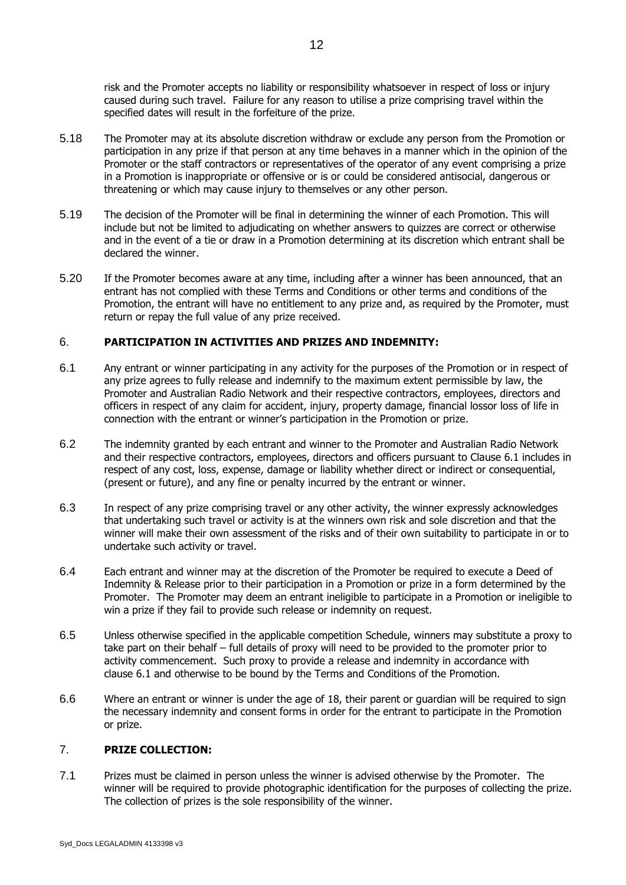risk and the Promoter accepts no liability or responsibility whatsoever in respect of loss or injury caused during such travel. Failure for any reason to utilise a prize comprising travel within the specified dates will result in the forfeiture of the prize.

- 5.18 The Promoter may at its absolute discretion withdraw or exclude any person from the Promotion or participation in any prize if that person at any time behaves in a manner which in the opinion of the Promoter or the staff contractors or representatives of the operator of any event comprising a prize in a Promotion is inappropriate or offensive or is or could be considered antisocial, dangerous or threatening or which may cause injury to themselves or any other person.
- 5.19 The decision of the Promoter will be final in determining the winner of each Promotion. This will include but not be limited to adjudicating on whether answers to quizzes are correct or otherwise and in the event of a tie or draw in a Promotion determining at its discretion which entrant shall be declared the winner.
- 5.20 If the Promoter becomes aware at any time, including after a winner has been announced, that an entrant has not complied with these Terms and Conditions or other terms and conditions of the Promotion, the entrant will have no entitlement to any prize and, as required by the Promoter, must return or repay the full value of any prize received.

# 6. **PARTICIPATION IN ACTIVITIES AND PRIZES AND INDEMNITY:**

- <span id="page-11-0"></span>6.1 Any entrant or winner participating in any activity for the purposes of the Promotion or in respect of any prize agrees to fully release and indemnify to the maximum extent permissible by law, the Promoter and Australian Radio Network and their respective contractors, employees, directors and officers in respect of any claim for accident, injury, property damage, financial lossor loss of life in connection with the entrant or winner's participation in the Promotion or prize.
- 6.2 The indemnity granted by each entrant and winner to the Promoter and Australian Radio Network and their respective contractors, employees, directors and officers pursuant to Clause 6.1 includes in respect of any cost, loss, expense, damage or liability whether direct or indirect or consequential, (present or future), and any fine or penalty incurred by the entrant or winner.
- 6.3 In respect of any prize comprising travel or any other activity, the winner expressly acknowledges that undertaking such travel or activity is at the winners own risk and sole discretion and that the winner will make their own assessment of the risks and of their own suitability to participate in or to undertake such activity or travel.
- 6.4 Each entrant and winner may at the discretion of the Promoter be required to execute a Deed of Indemnity & Release prior to their participation in a Promotion or prize in a form determined by the Promoter. The Promoter may deem an entrant ineligible to participate in a Promotion or ineligible to win a prize if they fail to provide such release or indemnity on request.
- 6.5 Unless otherwise specified in the applicable competition Schedule, winners may substitute a proxy to take part on their behalf – full details of proxy will need to be provided to the promoter prior to activity commencement. Such proxy to provide a release and indemnity in accordance with clause [6.1](#page-11-0) and otherwise to be bound by the Terms and Conditions of the Promotion.
- 6.6 Where an entrant or winner is under the age of 18, their parent or guardian will be required to sign the necessary indemnity and consent forms in order for the entrant to participate in the Promotion or prize.

## 7. **PRIZE COLLECTION:**

7.1 Prizes must be claimed in person unless the winner is advised otherwise by the Promoter. The winner will be required to provide photographic identification for the purposes of collecting the prize. The collection of prizes is the sole responsibility of the winner.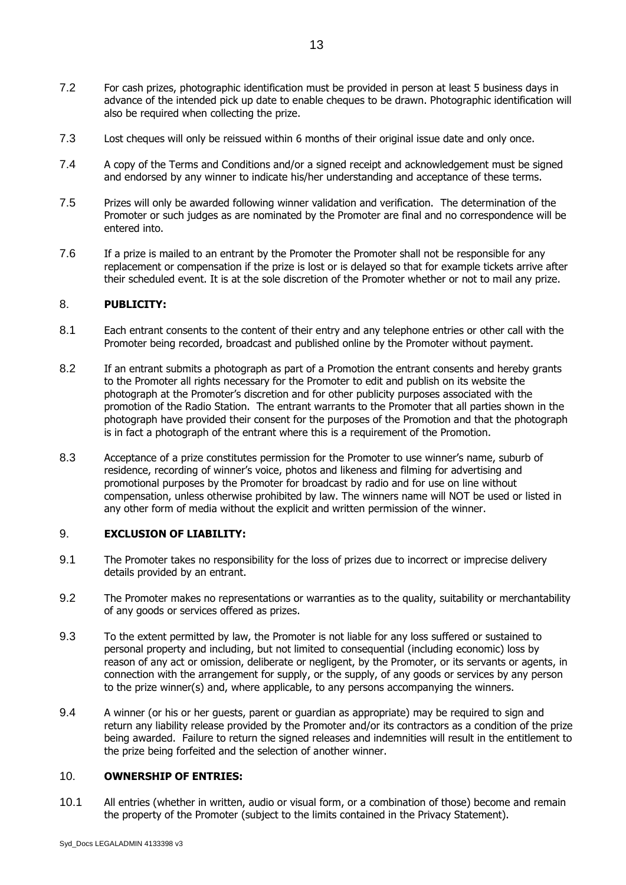- 7.2 For cash prizes, photographic identification must be provided in person at least 5 business days in advance of the intended pick up date to enable cheques to be drawn. Photographic identification will also be required when collecting the prize.
- 7.3 Lost cheques will only be reissued within 6 months of their original issue date and only once.
- 7.4 A copy of the Terms and Conditions and/or a signed receipt and acknowledgement must be signed and endorsed by any winner to indicate his/her understanding and acceptance of these terms.
- 7.5 Prizes will only be awarded following winner validation and verification. The determination of the Promoter or such judges as are nominated by the Promoter are final and no correspondence will be entered into.
- 7.6 If a prize is mailed to an entrant by the Promoter the Promoter shall not be responsible for any replacement or compensation if the prize is lost or is delayed so that for example tickets arrive after their scheduled event. It is at the sole discretion of the Promoter whether or not to mail any prize.

### 8. **PUBLICITY:**

- 8.1 Each entrant consents to the content of their entry and any telephone entries or other call with the Promoter being recorded, broadcast and published online by the Promoter without payment.
- 8.2 If an entrant submits a photograph as part of a Promotion the entrant consents and hereby grants to the Promoter all rights necessary for the Promoter to edit and publish on its website the photograph at the Promoter's discretion and for other publicity purposes associated with the promotion of the Radio Station. The entrant warrants to the Promoter that all parties shown in the photograph have provided their consent for the purposes of the Promotion and that the photograph is in fact a photograph of the entrant where this is a requirement of the Promotion.
- 8.3 Acceptance of a prize constitutes permission for the Promoter to use winner's name, suburb of residence, recording of winner's voice, photos and likeness and filming for advertising and promotional purposes by the Promoter for broadcast by radio and for use on line without compensation, unless otherwise prohibited by law. The winners name will NOT be used or listed in any other form of media without the explicit and written permission of the winner.

## 9. **EXCLUSION OF LIABILITY:**

- 9.1 The Promoter takes no responsibility for the loss of prizes due to incorrect or imprecise delivery details provided by an entrant.
- 9.2 The Promoter makes no representations or warranties as to the quality, suitability or merchantability of any goods or services offered as prizes.
- 9.3 To the extent permitted by law, the Promoter is not liable for any loss suffered or sustained to personal property and including, but not limited to consequential (including economic) loss by reason of any act or omission, deliberate or negligent, by the Promoter, or its servants or agents, in connection with the arrangement for supply, or the supply, of any goods or services by any person to the prize winner(s) and, where applicable, to any persons accompanying the winners.
- 9.4 A winner (or his or her guests, parent or guardian as appropriate) may be required to sign and return any liability release provided by the Promoter and/or its contractors as a condition of the prize being awarded. Failure to return the signed releases and indemnities will result in the entitlement to the prize being forfeited and the selection of another winner.

#### 10. **OWNERSHIP OF ENTRIES:**

10.1 All entries (whether in written, audio or visual form, or a combination of those) become and remain the property of the Promoter (subject to the limits contained in the Privacy Statement).